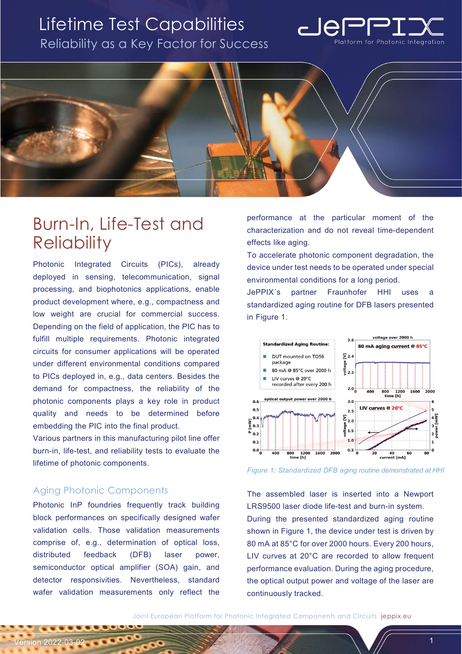## Lifetime Test Capabilities Reliability as a Key Factor for Success





# Burn-In, Life-Test and **Reliability**

Photonic Integrated Circuits (PICs), already deployed in sensing, telecommunication, signal processing, and biophotonics applications, enable product development where, e.g., compactness and low weight are crucial for commercial success. Depending on the field of application, the PIC has to fulfill multiple requirements. Photonic integrated circuits for consumer applications will be operated under different environmental conditions compared to PICs deployed in, e.g., data centers. Besides the demand for compactness, the reliability of the photonic components plays a key role in product quality and needs to be determined before embedding the PIC into the final product.

Various partners in this manufacturing pilot line offer burn-in, life-test, and reliability tests to evaluate the lifetime of photonic components.

### Aging Photonic Components

*Version 2022-03-02* 

Photonic InP foundries frequently track building block performances on specifically designed wafer validation cells. Those validation measurements comprise of, e.g., determination of optical loss, distributed feedback (DFB) laser power, semiconductor optical amplifier (SOA) gain, and detector responsivities. Nevertheless, standard wafer validation measurements only reflect the performance at the particular moment of the characterization and do not reveal time-dependent effects like aging.

To accelerate photonic component degradation, the device under test needs to be operated under special environmental conditions for a long period.

JePPIX´s partner Fraunhofer HHI uses a standardized aging routine for DFB lasers presented in Figure 1.



Figure 1: Standardized DFB aging routine demonstrated at HHI

The assembled laser is inserted into a Newport LRS9500 laser diode life-test and burn-in system. During the presented standardized aging routine shown in Figure 1, the device under test is driven by 80 mA at 85°C for over 2000 hours. Every 200 hours, LIV curves at 20°C are recorded to allow frequent performance evaluation. During the aging procedure, the optical output power and voltage of the laser are continuously tracked.

Joint European Platform for Photonic Integrated Components and Circuits jeppix.eu